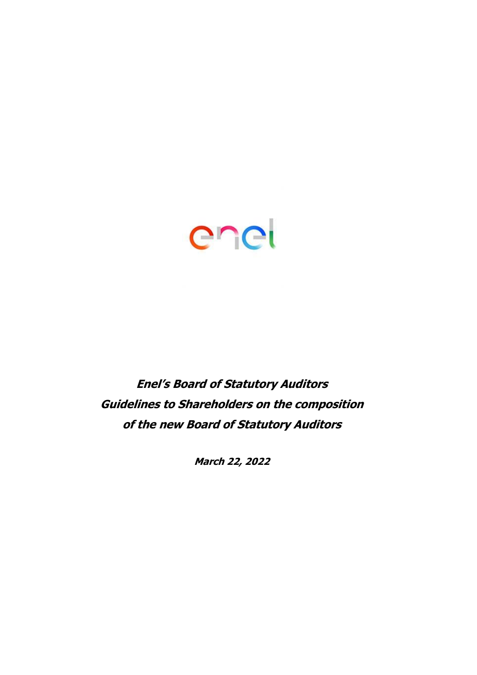

# **Enel's Board of Statutory Auditors Guidelines to Shareholders on the composition of the new Board of Statutory Auditors**

**March 22, 2022**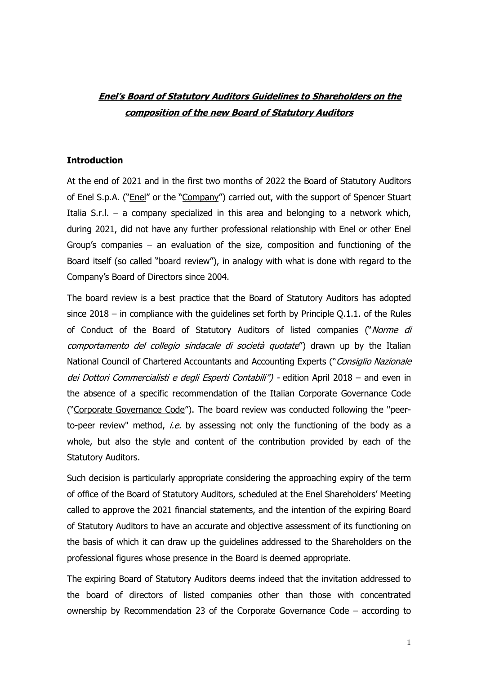## **Enel's Board of Statutory Auditors Guidelines to Shareholders on the composition of the new Board of Statutory Auditors**

#### **Introduction**

At the end of 2021 and in the first two months of 2022 the Board of Statutory Auditors of Enel S.p.A. ("*Enel"* or the "*Company"*) carried out, with the support of Spencer Stuart Italia S.r.l.  $-$  a company specialized in this area and belonging to a network which, during 2021, did not have any further professional relationship with Enel or other Enel Group's companies – an evaluation of the size, composition and functioning of the Board itself (so called "board review"), in analogy with what is done with regard to the Company's Board of Directors since 2004.

The board review is a best practice that the Board of Statutory Auditors has adopted since 2018 – in compliance with the guidelines set forth by Principle Q.1.1. of the Rules of Conduct of the Board of Statutory Auditors of listed companies ("Norme di comportamento del collegio sindacale di società quotate") drawn up by the Italian National Council of Chartered Accountants and Accounting Experts ("Consiglio Nazionale dei Dottori Commercialisti e degli Esperti Contabili") - edition April 2018 - and even in the absence of a specific recommendation of the Italian Corporate Governance Code ("Corporate Governance Code"). The board review was conducted following the "peerto-peer review" method, *i.e.* by assessing not only the functioning of the body as a whole, but also the style and content of the contribution provided by each of the Statutory Auditors.

Such decision is particularly appropriate considering the approaching expiry of the term of office of the Board of Statutory Auditors, scheduled at the Enel Shareholders' Meeting called to approve the 2021 financial statements, and the intention of the expiring Board of Statutory Auditors to have an accurate and objective assessment of its functioning on the basis of which it can draw up the guidelines addressed to the Shareholders on the professional figures whose presence in the Board is deemed appropriate.

The expiring Board of Statutory Auditors deems indeed that the invitation addressed to the board of directors of listed companies other than those with concentrated ownership by Recommendation 23 of the Corporate Governance Code – according to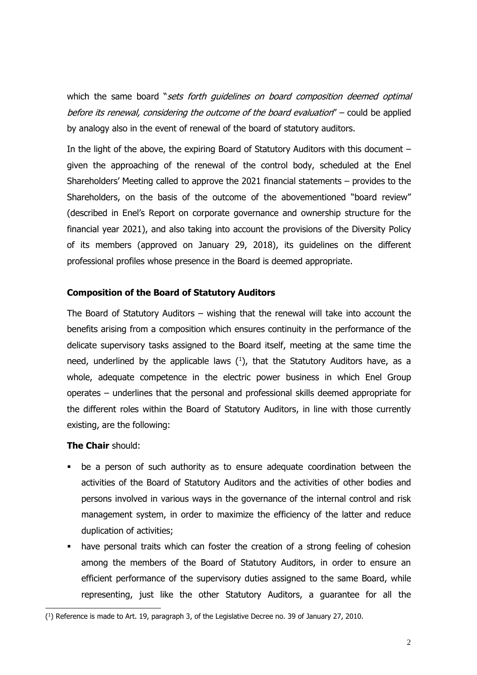which the same board "sets forth quidelines on board composition deemed optimal before its renewal, considering the outcome of the board evaluation" – could be applied by analogy also in the event of renewal of the board of statutory auditors.

In the light of the above, the expiring Board of Statutory Auditors with this document – given the approaching of the renewal of the control body, scheduled at the Enel Shareholders' Meeting called to approve the 2021 financial statements – provides to the Shareholders, on the basis of the outcome of the abovementioned "board review" (described in Enel's Report on corporate governance and ownership structure for the financial year 2021), and also taking into account the provisions of the Diversity Policy of its members (approved on January 29, 2018), its guidelines on the different professional profiles whose presence in the Board is deemed appropriate.

#### **Composition of the Board of Statutory Auditors**

The Board of Statutory Auditors – wishing that the renewal will take into account the benefits arising from a composition which ensures continuity in the performance of the delicate supervisory tasks assigned to the Board itself, meeting at the same time the need, underlined by the applicable laws  $(1)$ , that the Statutory Auditors have, as a whole, adequate competence in the electric power business in which Enel Group operates – underlines that the personal and professional skills deemed appropriate for the different roles within the Board of Statutory Auditors, in line with those currently existing, are the following:

### **The Chair** should:

- be a person of such authority as to ensure adequate coordination between the activities of the Board of Statutory Auditors and the activities of other bodies and persons involved in various ways in the governance of the internal control and risk management system, in order to maximize the efficiency of the latter and reduce duplication of activities;
- have personal traits which can foster the creation of a strong feeling of cohesion among the members of the Board of Statutory Auditors, in order to ensure an efficient performance of the supervisory duties assigned to the same Board, while representing, just like the other Statutory Auditors, a guarantee for all the

<sup>(</sup> 1 ) Reference is made to Art. 19, paragraph 3, of the Legislative Decree no. 39 of January 27, 2010.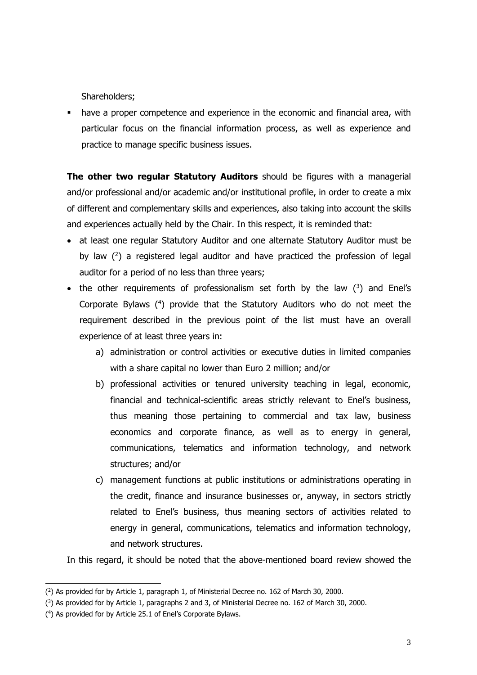Shareholders;

▪ have a proper competence and experience in the economic and financial area, with particular focus on the financial information process, as well as experience and practice to manage specific business issues.

**The other two regular Statutory Auditors** should be figures with a managerial and/or professional and/or academic and/or institutional profile, in order to create a mix of different and complementary skills and experiences, also taking into account the skills and experiences actually held by the Chair. In this respect, it is reminded that:

- at least one regular Statutory Auditor and one alternate Statutory Auditor must be by law  $(^2)$  a registered legal auditor and have practiced the profession of legal auditor for a period of no less than three years;
- the other requirements of professionalism set forth by the law  $(3)$  and Enel's Corporate Bylaws  $(4)$  provide that the Statutory Auditors who do not meet the requirement described in the previous point of the list must have an overall experience of at least three years in:
	- a) administration or control activities or executive duties in limited companies with a share capital no lower than Euro 2 million; and/or
	- b) professional activities or tenured university teaching in legal, economic, financial and technical-scientific areas strictly relevant to Enel's business, thus meaning those pertaining to commercial and tax law, business economics and corporate finance, as well as to energy in general, communications, telematics and information technology, and network structures; and/or
	- c) management functions at public institutions or administrations operating in the credit, finance and insurance businesses or, anyway, in sectors strictly related to Enel's business, thus meaning sectors of activities related to energy in general, communications, telematics and information technology, and network structures.

In this regard, it should be noted that the above-mentioned board review showed the

<sup>(</sup> 2 ) As provided for by Article 1, paragraph 1, of Ministerial Decree no. 162 of March 30, 2000.

<sup>(</sup> 3 ) As provided for by Article 1, paragraphs 2 and 3, of Ministerial Decree no. 162 of March 30, 2000.

<sup>(</sup> 4 ) As provided for by Article 25.1 of Enel's Corporate Bylaws.